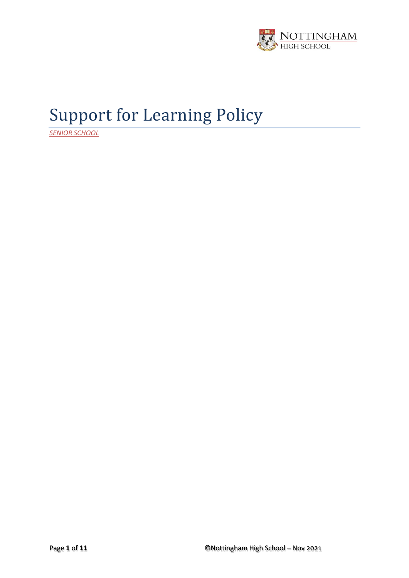

# Support for Learning Policy

*SENIOR SCHOOL*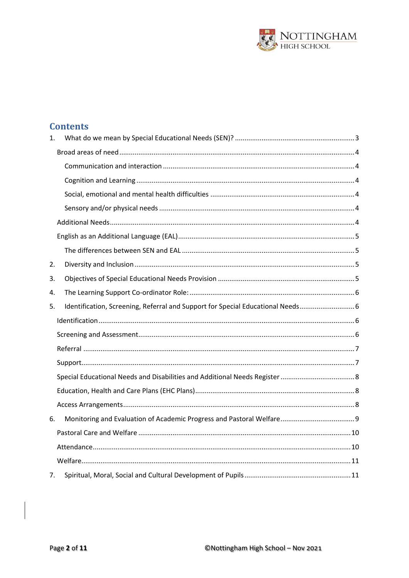

# **Contents**

| 1. |                                                                                 |  |
|----|---------------------------------------------------------------------------------|--|
|    |                                                                                 |  |
|    |                                                                                 |  |
|    |                                                                                 |  |
|    |                                                                                 |  |
|    |                                                                                 |  |
|    |                                                                                 |  |
|    |                                                                                 |  |
|    |                                                                                 |  |
| 2. |                                                                                 |  |
| 3. |                                                                                 |  |
| 4. |                                                                                 |  |
| 5. | Identification, Screening, Referral and Support for Special Educational Needs 6 |  |
|    |                                                                                 |  |
|    |                                                                                 |  |
|    |                                                                                 |  |
|    |                                                                                 |  |
|    |                                                                                 |  |
|    |                                                                                 |  |
|    |                                                                                 |  |
| 6. |                                                                                 |  |
|    |                                                                                 |  |
|    |                                                                                 |  |
|    |                                                                                 |  |
| 7. |                                                                                 |  |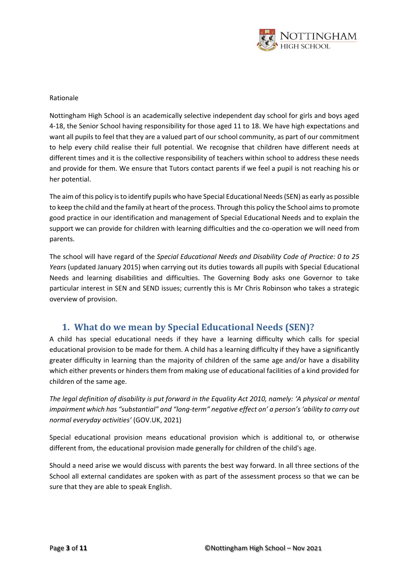

#### Rationale

Nottingham High School is an academically selective independent day school for girls and boys aged 4-18, the Senior School having responsibility for those aged 11 to 18. We have high expectations and want all pupils to feel that they are a valued part of our school community, as part of our commitment to help every child realise their full potential. We recognise that children have different needs at different times and it is the collective responsibility of teachers within school to address these needs and provide for them. We ensure that Tutors contact parents if we feel a pupil is not reaching his or her potential.

The aim of this policy is to identify pupils who have Special Educational Needs (SEN) as early as possible to keep the child and the family at heart of the process. Through this policy the School aims to promote good practice in our identification and management of Special Educational Needs and to explain the support we can provide for children with learning difficulties and the co-operation we will need from parents.

The school will have regard of the *Special Educational Needs and Disability Code of Practice: 0 to 25 Years* (updated January 2015) when carrying out its duties towards all pupils with Special Educational Needs and learning disabilities and difficulties. The Governing Body asks one Governor to take particular interest in SEN and SEND issues; currently this is Mr Chris Robinson who takes a strategic overview of provision.

# <span id="page-2-0"></span>**1. What do we mean by Special Educational Needs (SEN)?**

A child has special educational needs if they have a learning difficulty which calls for special educational provision to be made for them. A child has a learning difficulty if they have a significantly greater difficulty in learning than the majority of children of the same age and/or have a disability which either prevents or hinders them from making use of educational facilities of a kind provided for children of the same age.

*The legal definition of disability is put forward in the Equality Act 2010, namely: 'A physical or mental impairment which has "substantial" and "long-term" negative effect on' a person's 'ability to carry out normal everyday activities'* (GOV.UK, 2021)

Special educational provision means educational provision which is additional to, or otherwise different from, the educational provision made generally for children of the child's age.

Should a need arise we would discuss with parents the best way forward. In all three sections of the School all external candidates are spoken with as part of the assessment process so that we can be sure that they are able to speak English.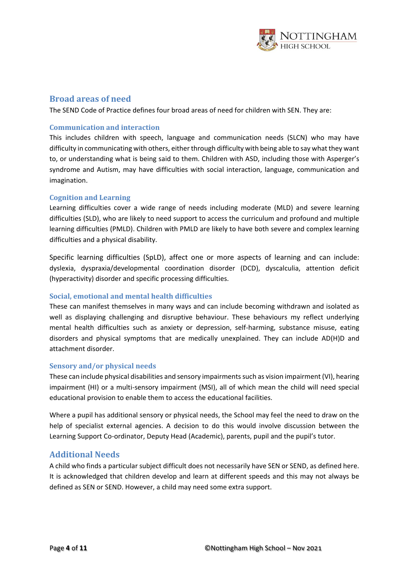

### <span id="page-3-0"></span>**Broad areas of need**

The SEND Code of Practice defines four broad areas of need for children with SEN. They are:

### <span id="page-3-1"></span>**Communication and interaction**

This includes children with speech, language and communication needs (SLCN) who may have difficulty in communicating with others, either through difficulty with being able to say what they want to, or understanding what is being said to them. Children with ASD, including those with Asperger's syndrome and Autism, may have difficulties with social interaction, language, communication and imagination.

### <span id="page-3-2"></span>**Cognition and Learning**

Learning difficulties cover a wide range of needs including moderate (MLD) and severe learning difficulties (SLD), who are likely to need support to access the curriculum and profound and multiple learning difficulties (PMLD). Children with PMLD are likely to have both severe and complex learning difficulties and a physical disability.

Specific learning difficulties (SpLD), affect one or more aspects of learning and can include: dyslexia, dyspraxia/developmental coordination disorder (DCD), dyscalculia, attention deficit (hyperactivity) disorder and specific processing difficulties.

#### <span id="page-3-3"></span>**Social, emotional and mental health difficulties**

These can manifest themselves in many ways and can include becoming withdrawn and isolated as well as displaying challenging and disruptive behaviour. These behaviours my reflect underlying mental health difficulties such as anxiety or depression, self-harming, substance misuse, eating disorders and physical symptoms that are medically unexplained. They can include AD(H)D and attachment disorder.

#### <span id="page-3-4"></span>**Sensory and/or physical needs**

These can include physical disabilities and sensory impairments such as vision impairment (VI), hearing impairment (HI) or a multi-sensory impairment (MSI), all of which mean the child will need special educational provision to enable them to access the educational facilities.

Where a pupil has additional sensory or physical needs, the School may feel the need to draw on the help of specialist external agencies. A decision to do this would involve discussion between the Learning Support Co-ordinator, Deputy Head (Academic), parents, pupil and the pupil's tutor.

### <span id="page-3-5"></span>**Additional Needs**

A child who finds a particular subject difficult does not necessarily have SEN or SEND, as defined here. It is acknowledged that children develop and learn at different speeds and this may not always be defined as SEN or SEND. However, a child may need some extra support.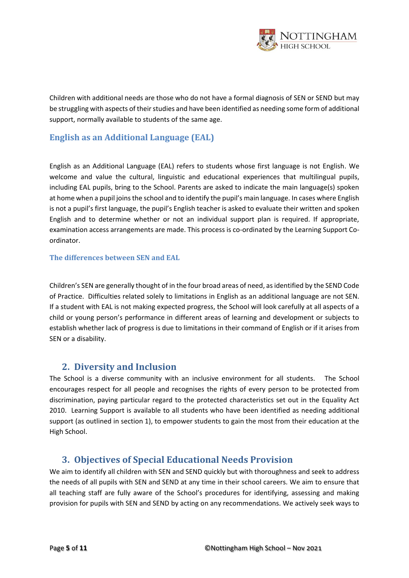

Children with additional needs are those who do not have a formal diagnosis of SEN or SEND but may be struggling with aspects of their studies and have been identified as needing some form of additional support, normally available to students of the same age.

# <span id="page-4-0"></span>**English as an Additional Language (EAL)**

English as an Additional Language (EAL) refers to students whose first language is not English. We welcome and value the cultural, linguistic and educational experiences that multilingual pupils, including EAL pupils, bring to the School. Parents are asked to indicate the main language(s) spoken at home when a pupil joins the school and to identify the pupil's main language. In cases where English is not a pupil's first language, the pupil's English teacher is asked to evaluate their written and spoken English and to determine whether or not an individual support plan is required. If appropriate, examination access arrangements are made. This process is co-ordinated by the Learning Support Coordinator.

### <span id="page-4-1"></span>**The differences between SEN and EAL**

Children's SEN are generally thought of in the four broad areas of need, as identified by the SEND Code of Practice. Difficulties related solely to limitations in English as an additional language are not SEN. If a student with EAL is not making expected progress, the School will look carefully at all aspects of a child or young person's performance in different areas of learning and development or subjects to establish whether lack of progress is due to limitations in their command of English or if it arises from SEN or a disability.

# <span id="page-4-2"></span>**2. Diversity and Inclusion**

The School is a diverse community with an inclusive environment for all students. The School encourages respect for all people and recognises the rights of every person to be protected from discrimination, paying particular regard to the protected characteristics set out in the Equality Act 2010. Learning Support is available to all students who have been identified as needing additional support (as outlined in section 1), to empower students to gain the most from their education at the High School.

# <span id="page-4-3"></span>**3. Objectives of Special Educational Needs Provision**

We aim to identify all children with SEN and SEND quickly but with thoroughness and seek to address the needs of all pupils with SEN and SEND at any time in their school careers. We aim to ensure that all teaching staff are fully aware of the School's procedures for identifying, assessing and making provision for pupils with SEN and SEND by acting on any recommendations. We actively seek ways to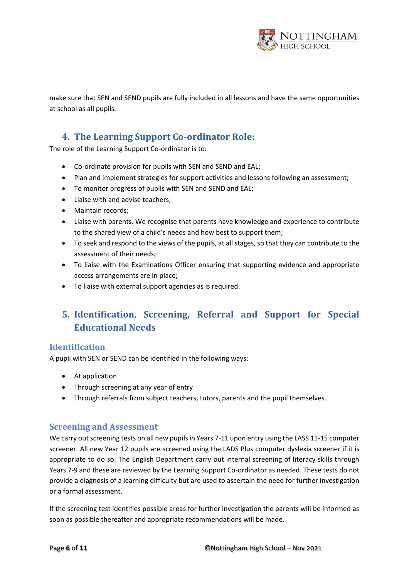

make sure that SEN and SEND pupils are fully included in all lessons and have the same opportunities at school as all pupils.

# <span id="page-5-0"></span>**4. The Learning Support Co-ordinator Role:**

The role of the Learning Support Co-ordinator is to:

- Co-ordinate provision for pupils with SEN and SEND and EAL;
- Plan and implement strategies for support activities and lessons following an assessment;
- To monitor progress of pupils with SEN and SEND and EAL;
- Liaise with and advise teachers;
- Maintain records;
- Liaise with parents. We recognise that parents have knowledge and experience to contribute to the shared view of a child's needs and how best to support them;
- To seek and respond to the views of the pupils, at all stages, so that they can contribute to the assessment of their needs;
- To liaise with the Examinations Officer ensuring that supporting evidence and appropriate access arrangements are in place;
- To liaise with external support agencies as is required.

# <span id="page-5-1"></span>**5. Identification, Screening, Referral and Support for Special Educational Needs**

### <span id="page-5-2"></span>**Identification**

A pupil with SEN or SEND can be identified in the following ways:

- At application
- Through screening at any year of entry
- Through referrals from subject teachers, tutors, parents and the pupil themselves.

### <span id="page-5-3"></span>**Screening and Assessment**

We carry out screening tests on all new pupils in Years 7-11 upon entry using the LASS 11-15 computer screener. All new Year 12 pupils are screened using the LADS Plus computer dyslexia screener if it is appropriate to do so. The English Department carry out internal screening of literacy skills through Years 7-9 and these are reviewed by the Learning Support Co-ordinator as needed. These tests do not provide a diagnosis of a learning difficulty but are used to ascertain the need for further investigation or a formal assessment.

If the screening test identifies possible areas for further investigation the parents will be informed as soon as possible thereafter and appropriate recommendations will be made.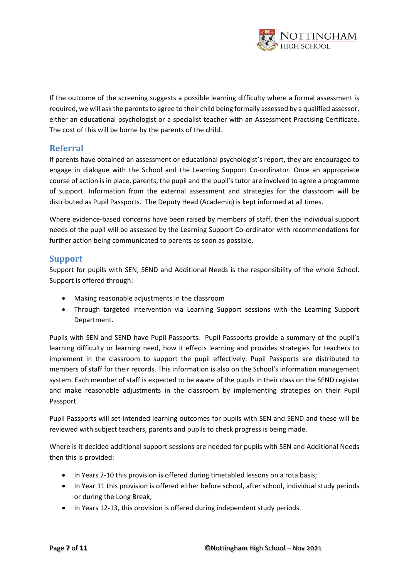

If the outcome of the screening suggests a possible learning difficulty where a formal assessment is required, we will ask the parents to agree to their child being formally assessed by a qualified assessor, either an educational psychologist or a specialist teacher with an Assessment Practising Certificate. The cost of this will be borne by the parents of the child.

### <span id="page-6-0"></span>**Referral**

If parents have obtained an assessment or educational psychologist's report, they are encouraged to engage in dialogue with the School and the Learning Support Co-ordinator. Once an appropriate course of action is in place, parents, the pupil and the pupil's tutor are involved to agree a programme of support. Information from the external assessment and strategies for the classroom will be distributed as Pupil Passports. The Deputy Head (Academic) is kept informed at all times.

Where evidence-based concerns have been raised by members of staff, then the individual support needs of the pupil will be assessed by the Learning Support Co-ordinator with recommendations for further action being communicated to parents as soon as possible.

### <span id="page-6-1"></span>**Support**

Support for pupils with SEN, SEND and Additional Needs is the responsibility of the whole School. Support is offered through:

- Making reasonable adjustments in the classroom
- Through targeted intervention via Learning Support sessions with the Learning Support Department.

Pupils with SEN and SEND have Pupil Passports. Pupil Passports provide a summary of the pupil's learning difficulty or learning need, how it effects learning and provides strategies for teachers to implement in the classroom to support the pupil effectively. Pupil Passports are distributed to members of staff for their records. This information is also on the School's information management system. Each member of staff is expected to be aware of the pupils in their class on the SEND register and make reasonable adjustments in the classroom by implementing strategies on their Pupil Passport.

Pupil Passports will set intended learning outcomes for pupils with SEN and SEND and these will be reviewed with subject teachers, parents and pupils to check progress is being made.

Where is it decided additional support sessions are needed for pupils with SEN and Additional Needs then this is provided:

- In Years 7-10 this provision is offered during timetabled lessons on a rota basis;
- In Year 11 this provision is offered either before school, after school, individual study periods or during the Long Break;
- In Years 12-13, this provision is offered during independent study periods.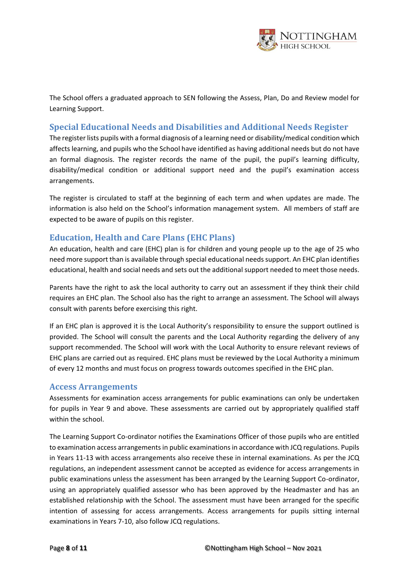

The School offers a graduated approach to SEN following the Assess, Plan, Do and Review model for Learning Support.

# <span id="page-7-0"></span>**Special Educational Needs and Disabilities and Additional Needs Register**

The register lists pupils with a formal diagnosis of a learning need or disability/medical condition which affects learning, and pupils who the School have identified as having additional needs but do not have an formal diagnosis. The register records the name of the pupil, the pupil's learning difficulty, disability/medical condition or additional support need and the pupil's examination access arrangements.

The register is circulated to staff at the beginning of each term and when updates are made. The information is also held on the School's information management system. All members of staff are expected to be aware of pupils on this register.

## <span id="page-7-1"></span>**Education, Health and Care Plans (EHC Plans)**

An education, health and care (EHC) plan is for children and young people up to the age of 25 who need more support than is available through special educational needs support. An EHC plan identifies educational, health and social needs and sets out the additional support needed to meet those needs.

Parents have the right to ask the local authority to carry out an assessment if they think their child requires an EHC plan. The School also has the right to arrange an assessment. The School will always consult with parents before exercising this right.

If an EHC plan is approved it is the Local Authority's responsibility to ensure the support outlined is provided. The School will consult the parents and the Local Authority regarding the delivery of any support recommended. The School will work with the Local Authority to ensure relevant reviews of EHC plans are carried out as required. EHC plans must be reviewed by the Local Authority a minimum of every 12 months and must focus on progress towards outcomes specified in the EHC plan.

### <span id="page-7-2"></span>**Access Arrangements**

Assessments for examination access arrangements for public examinations can only be undertaken for pupils in Year 9 and above. These assessments are carried out by appropriately qualified staff within the school.

The Learning Support Co-ordinator notifies the Examinations Officer of those pupils who are entitled to examination access arrangements in public examinations in accordance with JCQ regulations. Pupils in Years 11-13 with access arrangements also receive these in internal examinations. As per the JCQ regulations, an independent assessment cannot be accepted as evidence for access arrangements in public examinations unless the assessment has been arranged by the Learning Support Co-ordinator, using an appropriately qualified assessor who has been approved by the Headmaster and has an established relationship with the School. The assessment must have been arranged for the specific intention of assessing for access arrangements. Access arrangements for pupils sitting internal examinations in Years 7-10, also follow JCQ regulations.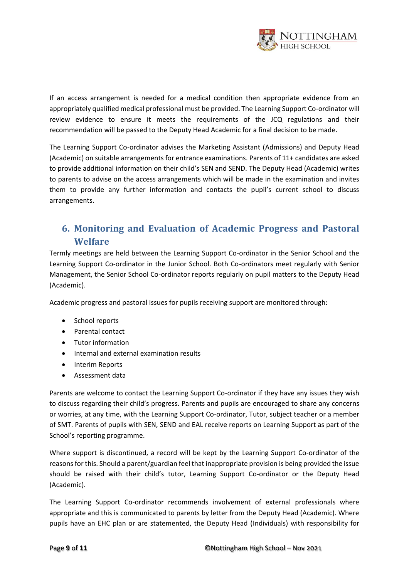

If an access arrangement is needed for a medical condition then appropriate evidence from an appropriately qualified medical professional must be provided. The Learning Support Co-ordinator will review evidence to ensure it meets the requirements of the JCQ regulations and their recommendation will be passed to the Deputy Head Academic for a final decision to be made.

The Learning Support Co-ordinator advises the Marketing Assistant (Admissions) and Deputy Head (Academic) on suitable arrangements for entrance examinations. Parents of 11+ candidates are asked to provide additional information on their child's SEN and SEND. The Deputy Head (Academic) writes to parents to advise on the access arrangements which will be made in the examination and invites them to provide any further information and contacts the pupil's current school to discuss arrangements.

# <span id="page-8-0"></span>**6. Monitoring and Evaluation of Academic Progress and Pastoral Welfare**

Termly meetings are held between the Learning Support Co-ordinator in the Senior School and the Learning Support Co-ordinator in the Junior School. Both Co-ordinators meet regularly with Senior Management, the Senior School Co-ordinator reports regularly on pupil matters to the Deputy Head (Academic).

Academic progress and pastoral issues for pupils receiving support are monitored through:

- School reports
- Parental contact
- Tutor information
- Internal and external examination results
- Interim Reports
- Assessment data

Parents are welcome to contact the Learning Support Co-ordinator if they have any issues they wish to discuss regarding their child's progress. Parents and pupils are encouraged to share any concerns or worries, at any time, with the Learning Support Co-ordinator, Tutor, subject teacher or a member of SMT. Parents of pupils with SEN, SEND and EAL receive reports on Learning Support as part of the School's reporting programme.

Where support is discontinued, a record will be kept by the Learning Support Co-ordinator of the reasons for this. Should a parent/guardian feel that inappropriate provision is being provided the issue should be raised with their child's tutor, Learning Support Co-ordinator or the Deputy Head (Academic).

The Learning Support Co-ordinator recommends involvement of external professionals where appropriate and this is communicated to parents by letter from the Deputy Head (Academic). Where pupils have an EHC plan or are statemented, the Deputy Head (Individuals) with responsibility for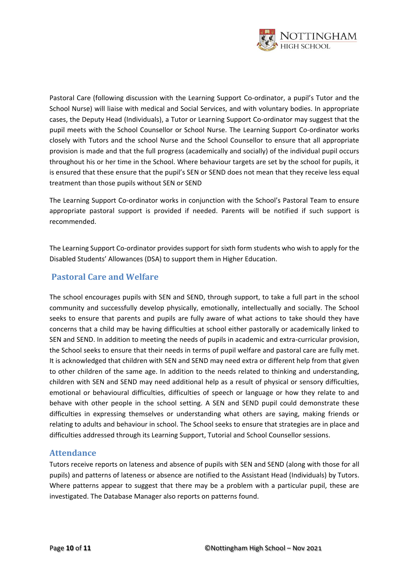

Pastoral Care (following discussion with the Learning Support Co-ordinator, a pupil's Tutor and the School Nurse) will liaise with medical and Social Services, and with voluntary bodies. In appropriate cases, the Deputy Head (Individuals), a Tutor or Learning Support Co-ordinator may suggest that the pupil meets with the School Counsellor or School Nurse. The Learning Support Co-ordinator works closely with Tutors and the school Nurse and the School Counsellor to ensure that all appropriate provision is made and that the full progress (academically and socially) of the individual pupil occurs throughout his or her time in the School. Where behaviour targets are set by the school for pupils, it is ensured that these ensure that the pupil's SEN or SEND does not mean that they receive less equal treatment than those pupils without SEN or SEND

The Learning Support Co-ordinator works in conjunction with the School's Pastoral Team to ensure appropriate pastoral support is provided if needed. Parents will be notified if such support is recommended.

The Learning Support Co-ordinator provides support for sixth form students who wish to apply for the Disabled Students' Allowances (DSA) to support them in Higher Education.

## <span id="page-9-0"></span>**Pastoral Care and Welfare**

The school encourages pupils with SEN and SEND, through support, to take a full part in the school community and successfully develop physically, emotionally, intellectually and socially. The School seeks to ensure that parents and pupils are fully aware of what actions to take should they have concerns that a child may be having difficulties at school either pastorally or academically linked to SEN and SEND. In addition to meeting the needs of pupils in academic and extra-curricular provision, the School seeks to ensure that their needs in terms of pupil welfare and pastoral care are fully met. It is acknowledged that children with SEN and SEND may need extra or different help from that given to other children of the same age. In addition to the needs related to thinking and understanding, children with SEN and SEND may need additional help as a result of physical or sensory difficulties, emotional or behavioural difficulties, difficulties of speech or language or how they relate to and behave with other people in the school setting. A SEN and SEND pupil could demonstrate these difficulties in expressing themselves or understanding what others are saying, making friends or relating to adults and behaviour in school. The School seeks to ensure that strategies are in place and difficulties addressed through its Learning Support, Tutorial and School Counsellor sessions.

### <span id="page-9-1"></span>**Attendance**

Tutors receive reports on lateness and absence of pupils with SEN and SEND (along with those for all pupils) and patterns of lateness or absence are notified to the Assistant Head (Individuals) by Tutors. Where patterns appear to suggest that there may be a problem with a particular pupil, these are investigated. The Database Manager also reports on patterns found.